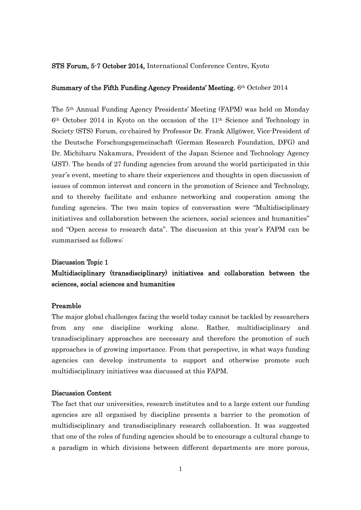#### STS Forum, 5-7 October 2014, International Conference Centre, Kyoto

#### Summary of the Fifth Funding Agency Presidents' Meeting,  $6<sup>th</sup> October 2014$

The 5th Annual Funding Agency Presidents' Meeting (FAPM) was held on Monday 6th October 2014 in Kyoto on the occasion of the 11th Science and Technology in Society (STS) Forum, co-chaired by Professor Dr. Frank Allgöwer, Vice-President of the Deutsche Forschungsgemeinschaft (German Research Foundation, DFG) and Dr. Michiharu Nakamura, President of the Japan Science and Technology Agency (JST). The heads of 27 funding agencies from around the world participated in this year's event, meeting to share their experiences and thoughts in open discussion of issues of common interest and concern in the promotion of Science and Technology, and to thereby facilitate and enhance networking and cooperation among the funding agencies. The two main topics of conversation were "Multidisciplinary initiatives and collaboration between the sciences, social sciences and humanities" and "Open access to research data". The discussion at this year's FAPM can be summarised as follows:

#### Discussion Topic 1

# Multidisciplinary (transdisciplinary) initiatives and collaboration between the sciences, social sciences and humanities

#### Preamble

The major global challenges facing the world today cannot be tackled by researchers from any one discipline working alone. Rather, multidisciplinary and transdisciplinary approaches are necessary and therefore the promotion of such approaches is of growing importance. From that perspective, in what ways funding agencies can develop instruments to support and otherwise promote such multidisciplinary initiatives was discussed at this FAPM.

#### Discussion Content

The fact that our universities, research institutes and to a large extent our funding agencies are all organised by discipline presents a barrier to the promotion of multidisciplinary and transdisciplinary research collaboration. It was suggested that one of the roles of funding agencies should be to encourage a cultural change to a paradigm in which divisions between different departments are more porous,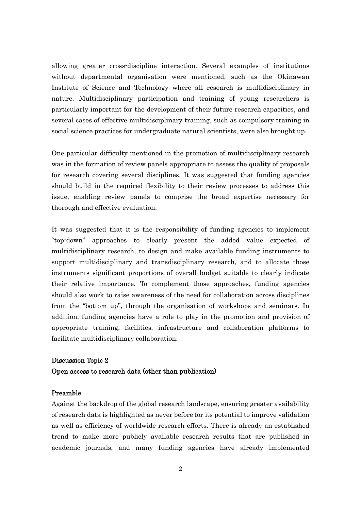allowing greater cross-discipline interaction. Several examples of institutions without departmental organisation were mentioned, such as the Okinawan Institute of Science and Technology where all research is multidisciplinary in nature. Multidisciplinary participation and training of young researchers is particularly important for the development of their future research capacities, and several cases of effective multidisciplinary training, such as compulsory training in social science practices for undergraduate natural scientists, were also brought up.

One particular difficulty mentioned in the promotion of multidisciplinary research was in the formation of review panels appropriate to assess the quality of proposals for research covering several disciplines. It was suggested that funding agencies should build in the required flexibility to their review processes to address this issue, enabling review panels to comprise the broad expertise necessary for thorough and effective evaluation.

It was suggested that it is the responsibility of funding agencies to implement "top-down" approaches to clearly present the added value expected of multidisciplinary research, to design and make available funding instruments to support multidisciplinary and transdisciplinary research, and to allocate those instruments significant proportions of overall budget suitable to clearly indicate their relative importance. To complement those approaches, funding agencies should also work to raise awareness of the need for collaboration across disciplines from the "bottom up", through the organisation of workshops and seminars. In addition, funding agencies have a role to play in the promotion and provision of appropriate training, facilities, infrastructure and collaboration platforms to facilitate multidisciplinary collaboration.

## Discussion Topic 2 Open access to research data (other than publication)

### Preamble

Against the backdrop of the global research landscape, ensuring greater availability of research data is highlighted as never before for its potential to improve validation as well as efficiency of worldwide research efforts. There is already an established trend to make more publicly available research results that are published in academic journals, and many funding agencies have already implemented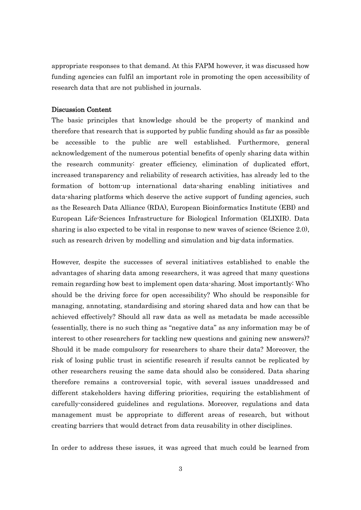appropriate responses to that demand. At this FAPM however, it was discussed how funding agencies can fulfil an important role in promoting the open accessibility of research data that are not published in journals.

## Discussion Content

The basic principles that knowledge should be the property of mankind and therefore that research that is supported by public funding should as far as possible be accessible to the public are well established. Furthermore, general acknowledgement of the numerous potential benefits of openly sharing data within the research community: greater efficiency, elimination of duplicated effort, increased transparency and reliability of research activities, has already led to the formation of bottom-up international data-sharing enabling initiatives and data-sharing platforms which deserve the active support of funding agencies, such as the Research Data Alliance (RDA), European Bioinformatics Institute (EBI) and European Life-Sciences Infrastructure for Biological Information (ELIXIR). Data sharing is also expected to be vital in response to new waves of science (Science 2.0), such as research driven by modelling and simulation and big-data informatics.

However, despite the successes of several initiatives established to enable the advantages of sharing data among researchers, it was agreed that many questions remain regarding how best to implement open data-sharing. Most importantly: Who should be the driving force for open accessibility? Who should be responsible for managing, annotating, standardising and storing shared data and how can that be achieved effectively? Should all raw data as well as metadata be made accessible (essentially, there is no such thing as "negative data" as any information may be of interest to other researchers for tackling new questions and gaining new answers)? Should it be made compulsory for researchers to share their data? Moreover, the risk of losing public trust in scientific research if results cannot be replicated by other researchers reusing the same data should also be considered. Data sharing therefore remains a controversial topic, with several issues unaddressed and different stakeholders having differing priorities, requiring the establishment of carefully-considered guidelines and regulations. Moreover, regulations and data management must be appropriate to different areas of research, but without creating barriers that would detract from data reusability in other disciplines.

In order to address these issues, it was agreed that much could be learned from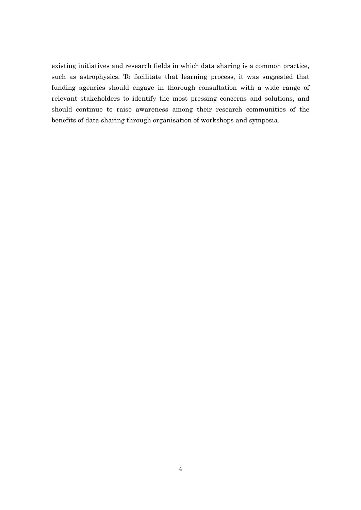existing initiatives and research fields in which data sharing is a common practice, such as astrophysics. To facilitate that learning process, it was suggested that funding agencies should engage in thorough consultation with a wide range of relevant stakeholders to identify the most pressing concerns and solutions, and should continue to raise awareness among their research communities of the benefits of data sharing through organisation of workshops and symposia.